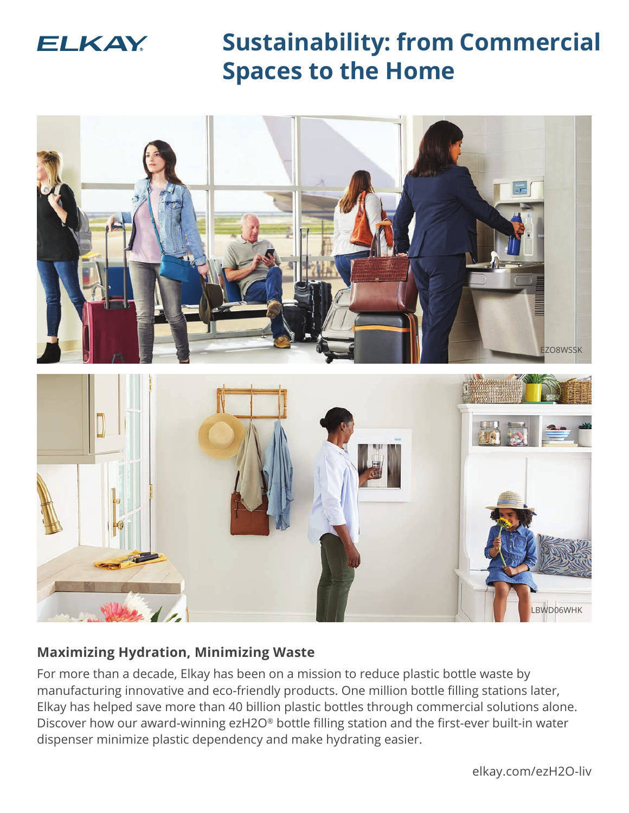

**Sustainability: from Commercial Spaces to the Home**



# **Maximizing Hydration, Minimizing Waste**

For more than a decade, Elkay has been on a mission to reduce plastic bottle waste by manufacturing innovative and eco-friendly products. One million bottle filling stations later, Elkay has helped save more than 40 billion plastic bottles through commercial solutions alone. Discover how our award-winning ezH2O® bottle filling station and the first-ever built-in water dispenser minimize plastic dependency and make hydrating easier.